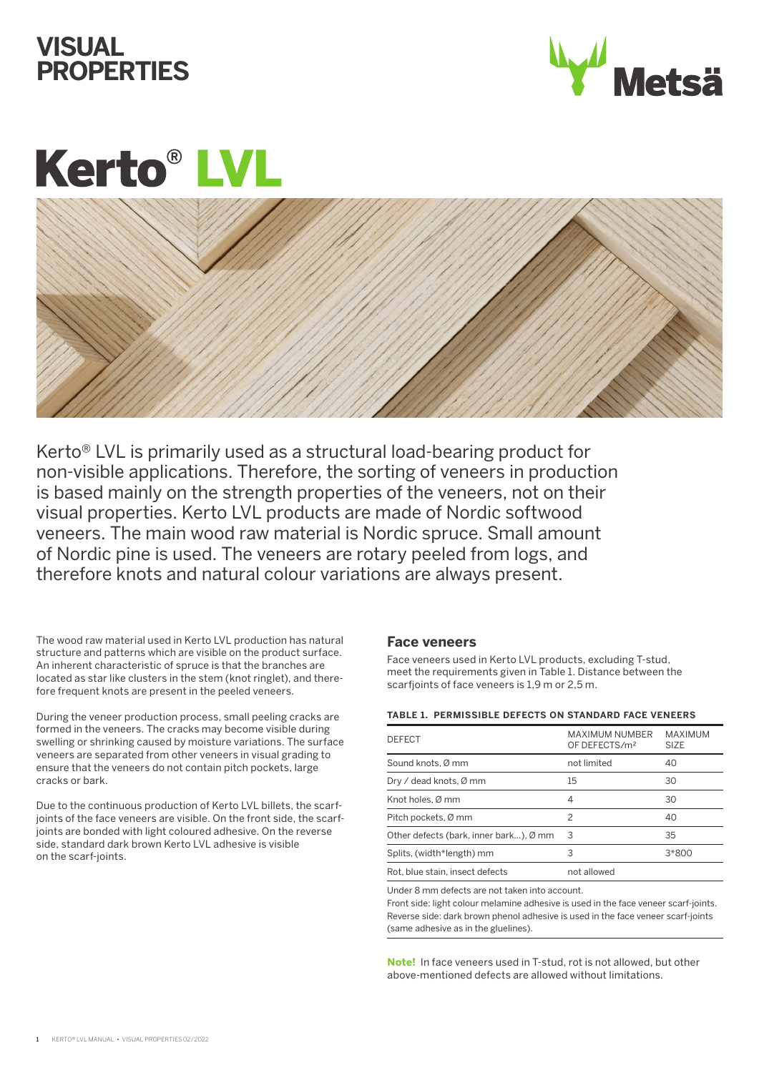# **VISUAL PROPERTIES**



# **Kerto® LVL**



Kerto® LVL is primarily used as a structural load-bearing product for non-visible applications. Therefore, the sorting of veneers in production is based mainly on the strength properties of the veneers, not on their visual properties. Kerto LVL products are made of Nordic softwood veneers. The main wood raw material is Nordic spruce. Small amount of Nordic pine is used. The veneers are rotary peeled from logs, and therefore knots and natural colour variations are always present.

The wood raw material used in Kerto LVL production has natural structure and patterns which are visible on the product surface. An inherent characteristic of spruce is that the branches are located as star like clusters in the stem (knot ringlet), and therefore frequent knots are present in the peeled veneers.

During the veneer production process, small peeling cracks are formed in the veneers. The cracks may become visible during swelling or shrinking caused by moisture variations. The surface veneers are separated from other veneers in visual grading to ensure that the veneers do not contain pitch pockets, large cracks or bark.

Due to the continuous production of Kerto LVL billets, the scarfjoints of the face veneers are visible. On the front side, the scarfjoints are bonded with light coloured adhesive. On the reverse side, standard dark brown Kerto LVL adhesive is visible on the scarf-joints.

### **Face veneers**

Face veneers used in Kerto LVL products, excluding T-stud, meet the requirements given in Table 1. Distance between the scarfjoints of face veneers is 1,9 m or 2,5 m.

#### **TABLE 1. PERMISSIBLE DEFECTS ON STANDARD FACE VENEERS**

| <b>DEFECT</b>                          | <b>MAXIMUM NUMBER</b><br>OF DEFECTS/m <sup>2</sup> | <b>MAXIMUM</b><br><b>SIZE</b> |
|----------------------------------------|----------------------------------------------------|-------------------------------|
| Sound knots, Ø mm                      | not limited                                        | 40                            |
| Dry / dead knots, Ø mm                 | 15                                                 | 30                            |
| Knot holes, Ø mm                       | 4                                                  | 30                            |
| Pitch pockets, Ø mm                    | $\mathcal{P}$                                      | 40                            |
| Other defects (bark, inner bark), Ø mm | 3                                                  | 35                            |
| Splits, (width*length) mm              | 3                                                  | 3*800                         |
| Rot, blue stain, insect defects        | not allowed                                        |                               |
|                                        |                                                    |                               |

Under 8 mm defects are not taken into account.

Front side: light colour melamine adhesive is used in the face veneer scarf-joints. Reverse side: dark brown phenol adhesive is used in the face veneer scarf-joints (same adhesive as in the gluelines).

**Note!** In face veneers used in T-stud, rot is not allowed, but other above-mentioned defects are allowed without limitations.